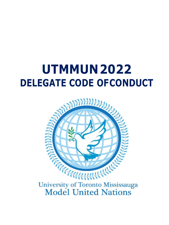# **UTMMUN2022 DELEGATE CODE OFCONDUCT**



University of Toronto Mississauga<br>Model United Nations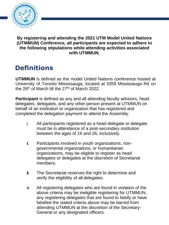

### **By registering and attending the 2021 UTM Model United Nations (UTMMUN) Conference, all participants are expected to adhere to the following stipulations while attending activities associated with UTMMUN.**

## **Definitions**

**UTMMUN** is defined as the model United Nations conference hosted at University of Toronto Mississauga, located at 3359 Mississauga Rd on the  $26<sup>th</sup>$  of March till the  $27<sup>th</sup>$  of March 2022.

**Participant** is defined as any and all attending faculty advisors, head delegates, delegates, and any other person present at UTMMUN on behalf of an institution or organization that has registered and completed the delegation payment to attend the Assembly.

- i. All participants registered as a head delegate or delegate must be in attendance of a post-secondary institution between the ages of 16 and 26, inclusively.
- ii. Participants involved in youth organizations, nongovernmental organizations, or humanitarian organizations, may be eligible to register as head delegates or delegates at the discretion of Secretariat members.
- $\ddot{\mathbf{u}}$ . The Secretariat reserves the right to determine and verify the eligibility of all delegates.
- iv. All registering delegates who are found in violation of the above criteria may be ineligible registering for UTMMUN, any registering delegates that are found to falsify or have falsified the stated criteria above may be barred from attending UTMMUN at the discretion of the Secretary-General or any designated officers.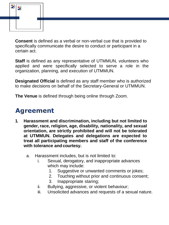

**Consent** is defined as a verbal or non-verbal cue that is provided to specifically communicate the desire to conduct or participant in a certain act.

**Staff** is defined as any representative of UTMMUN, volunteers who applied and were specifically selected to serve a role in the organization, planning, and execution of UTMMUN.

**Designated Official** is defined as any staff member who is authorized to make decisions on behalf of the Secretary-General or UTMMUN.

**The Venue** is defined through being online through Zoom.

## **Agreement**

- **1. Harassment and discrimination, including but not limited to gender, race, religion, age, disability, nationality, and sexual orientation, are strictly prohibited and will not be tolerated at UTMMUN. Delegates and delegations are expected to treat all participating members and staff of the conference with tolerance andcourtesy.**
	- a. Harassment includes, but is not limited to:
		- i. Sexual, derogatory, and inappropriate advances which may include:
			- 1. Suggestive or unwanted comments or jokes;
			- 2. Touching without prior and continuous consent;
			- 3. Inappropriate staring;
		- ii. Bullying, aggressive, or violent behaviour;
		- iii. Unsolicited advances and requests of a sexual nature.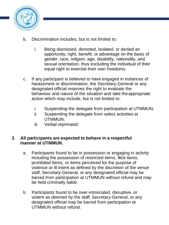

- b. Discrimination includes, but is not limited to:
	- i. Being dismissed, demoted, isolated, or denied an opportunity, right, benefit, or advantage on the basis of gender, race, religion, age, disability, nationality, and sexual orientation, thus excluding the individual of their equal right to exercise their own freedoms.
- c. If any participant is believed to have engaged in instances of harassment or discrimination, the Secretary-General or any designated official reserves the right to evaluate the behaviour and nature of the situation and take theappropriate action which may include, but is not limited to:
	- i. Suspending the delegate from participation at UTMMUN;
	- ii. Suspending the delegate from select activities at UTMMUN;
	- iii. Verbal reprimand;

#### **2. All participants are expected to behave in a respectful manner at UTMMUN.**

- a. Participants found to be in possession or engaging in activity including the possession of restricted items, illicit items, prohibited items, or items perceived for the purpose of violence or ill-intent as defined by the discretion of the venue staff, Secretary-General, or any designated official may be barred from participation at UTMMUN without refund and may be held criminally liable.
- b. Participants found to be over-intoxicated, disruptive, or violent as deemed by the staff, Secretary-General, or any designated official may be barred from participation at UTMMUN without refund.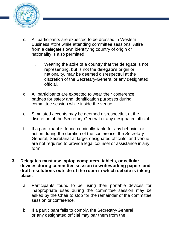

- c. All participants are expected to be dressed in Western Business Attire while attending committee sessions. Attire from a delegate's own identifying country of origin or nationality is also permitted.
	- i. Wearing the attire of a country that the delegate is not representing, but is not the delegate's origin or nationality, may be deemed disrespectful at the discretion of the Secretary-General or any designated official.
- d. All participants are expected to wear their conference badges for safety and identification purposes during committee session while inside the venue.
- e. Simulated accents may be deemed disrespectful, at the discretion of the Secretary-General or any designated official.
- f. If a participant is found criminally liable for any behavior or action during the duration of the conference, the Secretary-General, Secretariat at large, designated officials, and venue are not required to provide legal counsel or assistance in any form.
- **3. Delegates must use laptop computers, tablets, or cellular devices during committee session to writeworking papers and draft resolutions outside of the room in which debate is taking place.**
	- a. Participants found to be using their portable devices for inappropriate uses during the committee session may be asked by the Chair to stop for the remainder of the committee session or conference.
	- b. If a participant fails to comply, the Secretary-General or any designated official may bar them from the